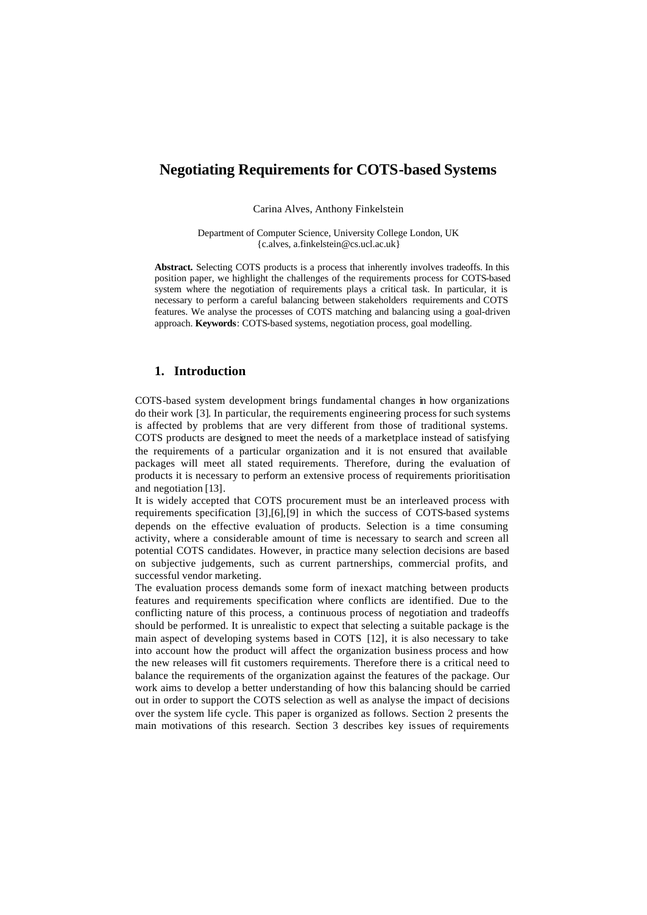# **Negotiating Requirements for COTS-based Systems**

Carina Alves, Anthony Finkelstein

Department of Computer Science, University College London, UK {c.alves, a.finkelstein@cs.ucl.ac.uk}

**Abstract.** Selecting COTS products is a process that inherently involves tradeoffs. In this position paper, we highlight the challenges of the requirements process for COTS-based system where the negotiation of requirements plays a critical task. In particular, it is necessary to perform a careful balancing between stakeholders requirements and COTS features. We analyse the processes of COTS matching and balancing using a goal-driven approach. **Keywords**: COTS-based systems, negotiation process, goal modelling.

### **1. Introduction**

COTS-based system development brings fundamental changes in how organizations do their work [3]. In particular, the requirements engineering process for such systems is affected by problems that are very different from those of traditional systems. COTS products are designed to meet the needs of a marketplace instead of satisfying the requirements of a particular organization and it is not ensured that available packages will meet all stated requirements. Therefore, during the evaluation of products it is necessary to perform an extensive process of requirements prioritisation and negotiation [13].

It is widely accepted that COTS procurement must be an interleaved process with requirements specification [3],[6],[9] in which the success of COTS-based systems depends on the effective evaluation of products. Selection is a time consuming activity, where a considerable amount of time is necessary to search and screen all potential COTS candidates. However, in practice many selection decisions are based on subjective judgements, such as current partnerships, commercial profits, and successful vendor marketing.

The evaluation process demands some form of inexact matching between products features and requirements specification where conflicts are identified. Due to the conflicting nature of this process, a continuous process of negotiation and tradeoffs should be performed. It is unrealistic to expect that selecting a suitable package is the main aspect of developing systems based in COTS [12], it is also necessary to take into account how the product will affect the organization business process and how the new releases will fit customers requirements. Therefore there is a critical need to balance the requirements of the organization against the features of the package. Our work aims to develop a better understanding of how this balancing should be carried out in order to support the COTS selection as well as analyse the impact of decisions over the system life cycle. This paper is organized as follows. Section 2 presents the main motivations of this research. Section 3 describes key issues of requirements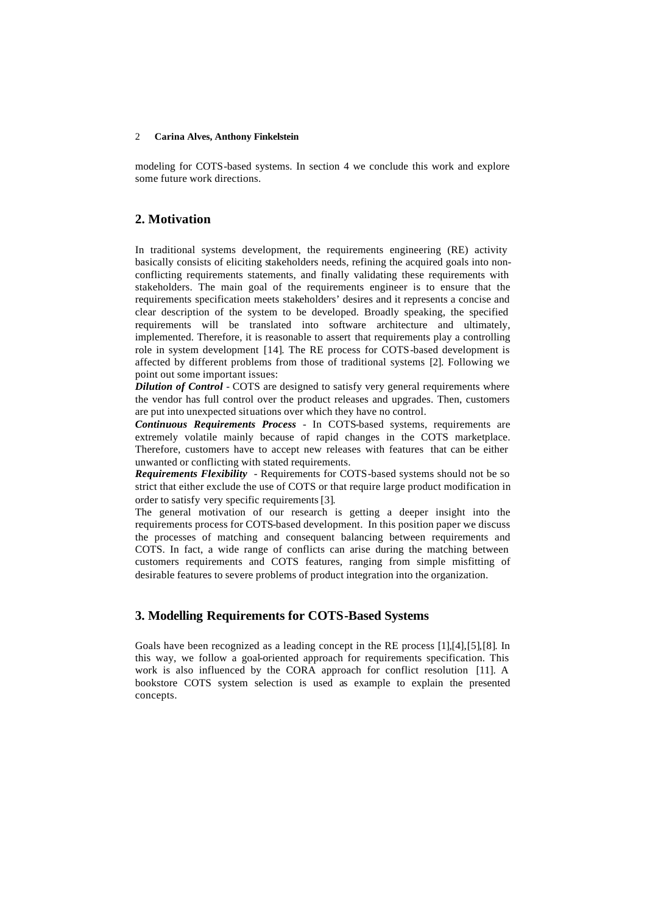#### 2 **Carina Alves, Anthony Finkelstein**

modeling for COTS-based systems. In section 4 we conclude this work and explore some future work directions.

## **2. Motivation**

In traditional systems development, the requirements engineering (RE) activity basically consists of eliciting stakeholders needs, refining the acquired goals into nonconflicting requirements statements, and finally validating these requirements with stakeholders. The main goal of the requirements engineer is to ensure that the requirements specification meets stakeholders' desires and it represents a concise and clear description of the system to be developed. Broadly speaking, the specified requirements will be translated into software architecture and ultimately, implemented. Therefore, it is reasonable to assert that requirements play a controlling role in system development [14]. The RE process for COTS-based development is affected by different problems from those of traditional systems [2]. Following we point out some important issues:

*Dilution of Control* - COTS are designed to satisfy very general requirements where the vendor has full control over the product releases and upgrades. Then, customers are put into unexpected situations over which they have no control.

*Continuous Requirements Process -* In COTS-based systems, requirements are extremely volatile mainly because of rapid changes in the COTS marketplace. Therefore, customers have to accept new releases with features that can be either unwanted or conflicting with stated requirements.

*Requirements Flexibility* - Requirements for COTS-based systems should not be so strict that either exclude the use of COTS or that require large product modification in order to satisfy very specific requirements [3].

The general motivation of our research is getting a deeper insight into the requirements process for COTS-based development. In this position paper we discuss the processes of matching and consequent balancing between requirements and COTS. In fact, a wide range of conflicts can arise during the matching between customers requirements and COTS features, ranging from simple misfitting of desirable features to severe problems of product integration into the organization.

## **3. Modelling Requirements for COTS-Based Systems**

Goals have been recognized as a leading concept in the RE process [1],[4],[5],[8]. In this way, we follow a goal-oriented approach for requirements specification. This work is also influenced by the CORA approach for conflict resolution [11]. A bookstore COTS system selection is used as example to explain the presented concepts.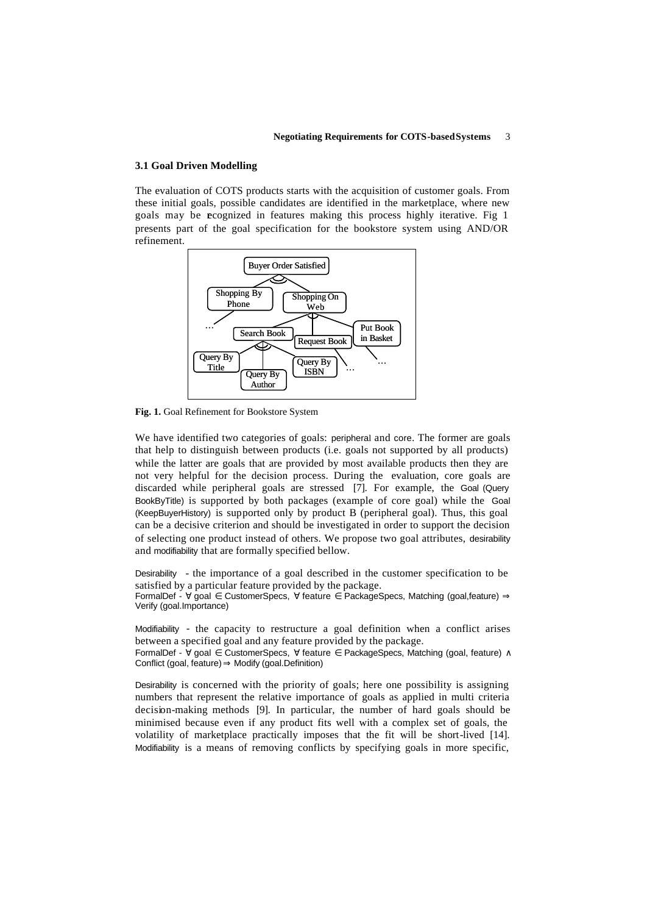#### **3.1 Goal Driven Modelling**

The evaluation of COTS products starts with the acquisition of customer goals. From these initial goals, possible candidates are identified in the marketplace, where new goals may be recognized in features making this process highly iterative. Fig 1 presents part of the goal specification for the bookstore system using AND/OR refinement.



**Fig. 1.** Goal Refinement for Bookstore System

We have identified two categories of goals: peripheral and core. The former are goals that help to distinguish between products (i.e. goals not supported by all products) while the latter are goals that are provided by most available products then they are not very helpful for the decision process. During the evaluation, core goals are discarded while peripheral goals are stressed [7]. For example, the Goal (Query BookByTitle) is supported by both packages (example of core goal) while the Goal (KeepBuyerHistory) is supported only by product B (peripheral goal). Thus, this goal can be a decisive criterion and should be investigated in order to support the decision of selecting one product instead of others. We propose two goal attributes, desirability and modifiability that are formally specified bellow.

Desirability - the importance of a goal described in the customer specification to be satisfied by a particular feature provided by the package.

FormalDef - ∀ goal ∈ CustomerSpecs, ∀ feature ∈ PackageSpecs, Matching (goal,feature) ⇒ Verify (goal.Importance)

Modifiability - the capacity to restructure a goal definition when a conflict arises between a specified goal and any feature provided by the package. FormalDef - ∀ goal ∈ CustomerSpecs, ∀ feature ∈ PackageSpecs, Matching (goal, feature) ∧ Conflict (goal, feature)  $\Rightarrow$  Modify (goal.Definition)

Desirability is concerned with the priority of goals; here one possibility is assigning numbers that represent the relative importance of goals as applied in multi criteria decision-making methods [9]. In particular, the number of hard goals should be minimised because even if any product fits well with a complex set of goals, the volatility of marketplace practically imposes that the fit will be short-lived [14]. Modifiability is a means of removing conflicts by specifying goals in more specific,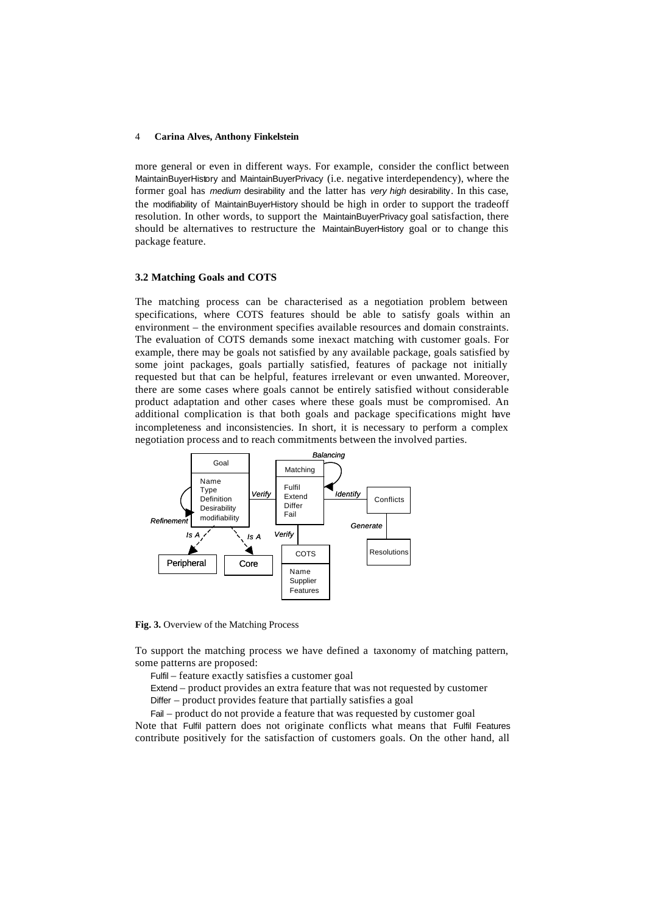#### 4 **Carina Alves, Anthony Finkelstein**

more general or even in different ways. For example, consider the conflict between MaintainBuyerHistory and MaintainBuyerPrivacy (i.e. negative interdependency), where the former goal has *medium* desirability and the latter has *very high* desirability. In this case, the modifiability of MaintainBuyerHistory should be high in order to support the tradeoff resolution. In other words, to support the MaintainBuyerPrivacy goal satisfaction, there should be alternatives to restructure the MaintainBuyerHistory goal or to change this package feature.

#### **3.2 Matching Goals and COTS**

The matching process can be characterised as a negotiation problem between specifications, where COTS features should be able to satisfy goals within an environment – the environment specifies available resources and domain constraints. The evaluation of COTS demands some inexact matching with customer goals. For example, there may be goals not satisfied by any available package, goals satisfied by some joint packages, goals partially satisfied, features of package not initially requested but that can be helpful, features irrelevant or even unwanted. Moreover, there are some cases where goals cannot be entirely satisfied without considerable product adaptation and other cases where these goals must be compromised. An additional complication is that both goals and package specifications might have incompleteness and inconsistencies. In short, it is necessary to perform a complex negotiation process and to reach commitments between the involved parties.



**Fig. 3.** Overview of the Matching Process

To support the matching process we have defined a taxonomy of matching pattern, some patterns are proposed:

Fulfil – feature exactly satisfies a customer goal

Extend – product provides an extra feature that was not requested by customer

Differ – product provides feature that partially satisfies a goal

Fail – product do not provide a feature that was requested by customer goal

Note that Fulfil pattern does not originate conflicts what means that Fulfil Features contribute positively for the satisfaction of customers goals. On the other hand, all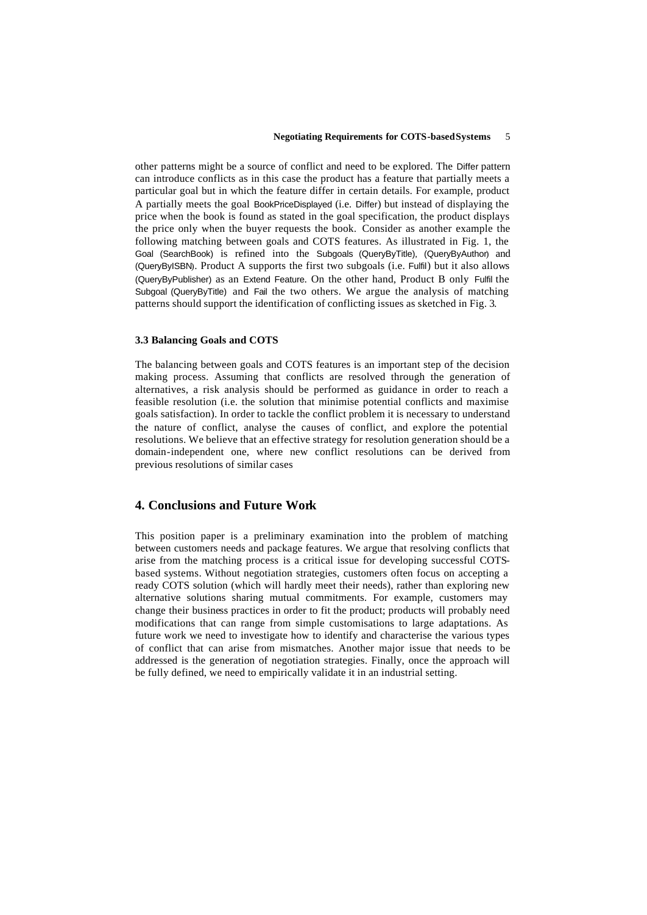other patterns might be a source of conflict and need to be explored. The Differ pattern can introduce conflicts as in this case the product has a feature that partially meets a particular goal but in which the feature differ in certain details. For example, product A partially meets the goal BookPriceDisplayed (i.e. Differ) but instead of displaying the price when the book is found as stated in the goal specification, the product displays the price only when the buyer requests the book. Consider as another example the following matching between goals and COTS features. As illustrated in Fig. 1, the Goal (SearchBook) is refined into the Subgoals (QueryByTitle), (QueryByAuthor) and (QueryByISBN). Product A supports the first two subgoals (i.e. Fulfil) but it also allows (QueryByPublisher) as an Extend Feature. On the other hand, Product B only Fulfil the Subgoal (QueryByTitle) and Fail the two others. We argue the analysis of matching patterns should support the identification of conflicting issues as sketched in Fig. 3.

#### **3.3 Balancing Goals and COTS**

The balancing between goals and COTS features is an important step of the decision making process. Assuming that conflicts are resolved through the generation of alternatives, a risk analysis should be performed as guidance in order to reach a feasible resolution (i.e. the solution that minimise potential conflicts and maximise goals satisfaction). In order to tackle the conflict problem it is necessary to understand the nature of conflict, analyse the causes of conflict, and explore the potential resolutions. We believe that an effective strategy for resolution generation should be a domain-independent one, where new conflict resolutions can be derived from previous resolutions of similar cases

## **4. Conclusions and Future Work**

This position paper is a preliminary examination into the problem of matching between customers needs and package features. We argue that resolving conflicts that arise from the matching process is a critical issue for developing successful COTSbased systems. Without negotiation strategies, customers often focus on accepting a ready COTS solution (which will hardly meet their needs), rather than exploring new alternative solutions sharing mutual commitments. For example, customers may change their business practices in order to fit the product; products will probably need modifications that can range from simple customisations to large adaptations. As future work we need to investigate how to identify and characterise the various types of conflict that can arise from mismatches. Another major issue that needs to be addressed is the generation of negotiation strategies. Finally, once the approach will be fully defined, we need to empirically validate it in an industrial setting.